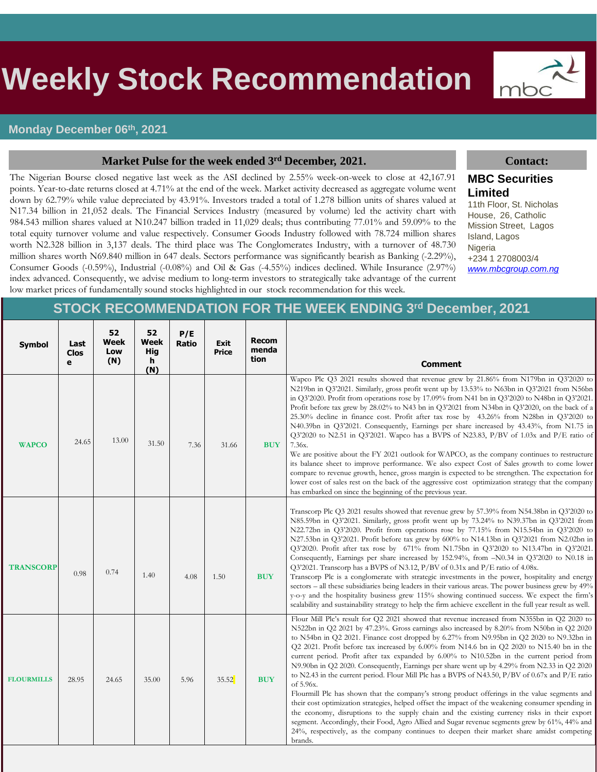# s **Weekly Stock Recommendation**

## **Monday December 06th, 2021**

## **Market Pulse for the week ended 3<sup>rd</sup> December, 2021. Contact: Contact:**

The Nigerian Bourse closed negative last week as the ASI declined by 2.55% week-on-week to close at 42,167.91 points. Year-to-date returns closed at 4.71% at the end of the week. Market activity decreased as aggregate volume went down by 62.79% while value depreciated by 43.91%. Investors traded a total of 1.278 billion units of shares valued at N17.34 billion in 21,052 deals. The Financial Services Industry (measured by volume) led the activity chart with 984.543 million shares valued at N10.247 billion traded in 11,029 deals; thus contributing 77.01% and 59.09% to the total equity turnover volume and value respectively. Consumer Goods Industry followed with 78.724 million shares worth N2.328 billion in 3,137 deals. The third place was The Conglomerates Industry, with a turnover of 48.730 million shares worth N69.840 million in 647 deals. Sectors performance was significantly bearish as Banking (-2.29%), Consumer Goods (-0.59%), Industrial (-0.08%) and Oil & Gas (-4.55%) indices declined. While Insurance (2.97%) index advanced. Consequently, we advise medium to long-term investors to strategically take advantage of the current low market prices of fundamentally sound stocks highlighted in our stock recommendation for this week.



## **MBC Securities Limited**

11th Floor, St. Nicholas House, 26, Catholic Mission Street, Lagos Island, Lagos Nigeria +234 1 2708003/4 *[www.mbcgroup.com.ng](http://www.mbcgroup.com.ng/)*

## **STOCK RECOMMENDATION FOR THE WEEK ENDING 3 rd December, 2021**

| <b>Symbol</b>     | Last<br><b>Clos</b><br>e | 52<br>Week<br>Low<br>(N) | 52<br>Week<br><b>Hig</b><br>h<br>(N) | P/E<br><b>Ratio</b> | <b>Exit</b><br><b>Price</b> | <b>Recom</b><br>menda<br>tion | <b>Comment</b>                                                                                                                                                                                                                                                                                                                                                                                                                                                                                                                                                                                                                                                                                                                                                                                                                                                                                                                                                                                                                                                                                                                                                                                                  |
|-------------------|--------------------------|--------------------------|--------------------------------------|---------------------|-----------------------------|-------------------------------|-----------------------------------------------------------------------------------------------------------------------------------------------------------------------------------------------------------------------------------------------------------------------------------------------------------------------------------------------------------------------------------------------------------------------------------------------------------------------------------------------------------------------------------------------------------------------------------------------------------------------------------------------------------------------------------------------------------------------------------------------------------------------------------------------------------------------------------------------------------------------------------------------------------------------------------------------------------------------------------------------------------------------------------------------------------------------------------------------------------------------------------------------------------------------------------------------------------------|
| <b>WAPCO</b>      | 24.65                    | 13.00                    | 31.50                                | 7.36                | 31.66                       | <b>BUY</b>                    | Wapco Plc Q3 2021 results showed that revenue grew by 21.86% from N179bn in Q3'2020 to<br>N219bn in Q3'2021. Similarly, gross profit went up by 13.53% to N63bn in Q3'2021 from N56bn<br>in Q3'2020. Profit from operations rose by 17.09% from N41 bn in Q3'2020 to N48bn in Q3'2021.<br>Profit before tax grew by 28.02% to N43 bn in Q3'2021 from N34bn in Q3'2020, on the back of a<br>25.30% decline in finance cost. Profit after tax rose by 43.26% from N28bn in Q3'2020 to<br>N40.39bn in Q3'2021. Consequently, Earnings per share increased by 43.43%, from N1.75 in<br>Q3'2020 to N2.51 in Q3'2021. Wapco has a BVPS of N23.83, P/BV of 1.03x and P/E ratio of<br>7.36x.<br>We are positive about the FY 2021 outlook for WAPCO, as the company continues to restructure<br>its balance sheet to improve performance. We also expect Cost of Sales growth to come lower<br>compare to revenue growth, hence, gross margin is expected to be strengthen. The expectation for<br>lower cost of sales rest on the back of the aggressive cost optimization strategy that the company<br>has embarked on since the beginning of the previous year.                                                      |
| <b>TRANSCORP</b>  | 0.98                     | 0.74                     | 1.40                                 | 4.08                | 1.50                        | <b>BUY</b>                    | Transcorp Plc Q3 2021 results showed that revenue grew by 57.39% from N54.38bn in Q3'2020 to<br>N85.59bn in Q3'2021. Similarly, gross profit went up by 73.24% to N39.37bn in Q3'2021 from<br>N22.72bn in Q3'2020. Profit from operations rose by 77.15% from N15.54bn in Q3'2020 to<br>N27.53bn in Q3'2021. Profit before tax grew by 600% to N14.13bn in Q3'2021 from N2.02bn in<br>Q3'2020. Profit after tax rose by 671% from N1.75bn in Q3'2020 to N13.47bn in Q3'2021.<br>Consequently, Earnings per share increased by 152.94%, from -N0.34 in Q3'2020 to N0.18 in<br>Q3'2021. Transcorp has a BVPS of N3.12, P/BV of 0.31x and P/E ratio of 4.08x.<br>Transcorp Plc is a conglomerate with strategic investments in the power, hospitality and energy<br>sectors – all these subsidiaries being leaders in their various areas. The power business grew by 49%<br>y-o-y and the hospitality business grew 115% showing continued success. We expect the firm's<br>scalability and sustainability strategy to help the firm achieve excellent in the full year result as well.                                                                                                                           |
| <b>FLOURMILLS</b> | 28.95                    | 24.65                    | 35.00                                | 5.96                | 35.52                       | <b>BUY</b>                    | Flour Mill Plc's result for Q2 2021 showed that revenue increased from N355bn in Q2 2020 to<br>N522bn in Q2 2021 by 47.23%. Gross earnings also increased by 8.20% from N50bn in Q2 2020<br>to N54bn in Q2 2021. Finance cost dropped by 6.27% from N9.95bn in Q2 2020 to N9.32bn in<br>Q2 2021. Profit before tax increased by 6.00% from N14.6 bn in Q2 2020 to N15.40 bn in the<br>current period. Profit after tax expanded by 6.00% to N10.52bn in the current period from<br>N9.90bn in Q2 2020. Consequently, Earnings per share went up by 4.29% from N2.33 in Q2 2020<br>to N2.43 in the current period. Flour Mill Plc has a BVPS of N43.50, P/BV of 0.67x and P/E ratio<br>of 5.96x.<br>Flourmill Plc has shown that the company's strong product offerings in the value segments and<br>their cost optimization strategies, helped offset the impact of the weakening consumer spending in<br>the economy, disruptions to the supply chain and the existing currency risks in their export<br>segment. Accordingly, their Food, Agro Allied and Sugar revenue segments grew by 61%, 44% and<br>24%, respectively, as the company continues to deepen their market share amidst competing<br>brands. |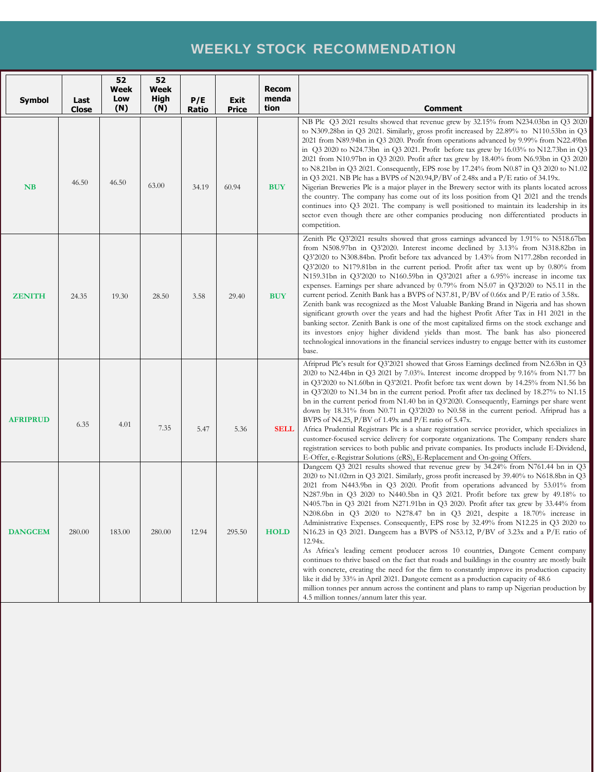## **WEEKLY STOCK RECOMMENDATION**

|                 |               | 52<br>Week<br>Low | 52<br>Week<br>High |              |                             | <b>Recom</b><br>menda |                                                                                                                                                                                                                                                                                                                                                                                                                                                                                                                                                                                                                                                                                                                                                                                                                                                                                                                                                                                                                                                                                                                                                                                                                                       |
|-----------------|---------------|-------------------|--------------------|--------------|-----------------------------|-----------------------|---------------------------------------------------------------------------------------------------------------------------------------------------------------------------------------------------------------------------------------------------------------------------------------------------------------------------------------------------------------------------------------------------------------------------------------------------------------------------------------------------------------------------------------------------------------------------------------------------------------------------------------------------------------------------------------------------------------------------------------------------------------------------------------------------------------------------------------------------------------------------------------------------------------------------------------------------------------------------------------------------------------------------------------------------------------------------------------------------------------------------------------------------------------------------------------------------------------------------------------|
| <b>Symbol</b>   | Last<br>Close | (N)               | (N)                | P/E<br>Ratio | <b>Exit</b><br><b>Price</b> | tion                  | <b>Comment</b>                                                                                                                                                                                                                                                                                                                                                                                                                                                                                                                                                                                                                                                                                                                                                                                                                                                                                                                                                                                                                                                                                                                                                                                                                        |
| <b>NB</b>       | 46.50         | 46.50             | 63.00              | 34.19        | 60.94                       | <b>BUY</b>            | NB Plc Q3 2021 results showed that revenue grew by 32.15% from N234.03bn in Q3 2020<br>to N309.28bn in Q3 2021. Similarly, gross profit increased by 22.89% to N110.53bn in Q3<br>2021 from N89.94bn in Q3 2020. Profit from operations advanced by 9.99% from N22.49bn<br>in $Q3 2020$ to N24.73bn in Q3 2021. Profit before tax grew by 16.03% to N12.73bn in Q3<br>2021 from N10.97bn in Q3 2020. Profit after tax grew by 18.40% from N6.93bn in Q3 2020<br>to N8.21bn in Q3 2021. Consequently, EPS rose by 17.24% from N0.87 in Q3 2020 to N1.02<br>in Q3 2021. NB Plc has a BVPS of N20.94, P/BV of 2.48x and a $P/E$ ratio of 34.19x.<br>Nigerian Breweries Plc is a major player in the Brewery sector with its plants located across<br>the country. The company has come out of its loss position from Q1 2021 and the trends<br>continues into Q3 2021. The company is well positioned to maintain its leadership in its<br>sector even though there are other companies producing non differentiated products in<br>competition.                                                                                                                                                                                         |
| <b>ZENITH</b>   | 24.35         | 19.30             | 28.50              | 3.58         | 29.40                       | <b>BUY</b>            | Zenith Plc Q3'2021 results showed that gross earnings advanced by 1.91% to N518.67bn<br>from N508.97bn in Q3'2020. Interest income declined by 3.13% from N318.82bn in<br>Q3'2020 to N308.84bn. Profit before tax advanced by 1.43% from N177.28bn recorded in<br>Q3'2020 to N179.81bn in the current period. Profit after tax went up by 0.80% from<br>N159.31bn in Q3'2020 to N160.59bn in Q3'2021 after a 6.95% increase in income tax<br>expenses. Earnings per share advanced by $0.79\%$ from N5.07 in Q3'2020 to N5.11 in the<br>current period. Zenith Bank has a BVPS of N37.81, P/BV of 0.66x and P/E ratio of 3.58x.<br>Zenith bank was recognized as the Most Valuable Banking Brand in Nigeria and has shown<br>significant growth over the years and had the highest Profit After Tax in H1 2021 in the<br>banking sector. Zenith Bank is one of the most capitalized firms on the stock exchange and<br>its investors enjoy higher dividend yields than most. The bank has also pioneered<br>technological innovations in the financial services industry to engage better with its customer<br>base.                                                                                                                  |
| <b>AFRIPRUD</b> | 6.35          | 4.01              | 7.35               | 5.47         | 5.36                        | <b>SELL</b>           | Afriprud Plc's result for Q3'2021 showed that Gross Earnings declined from N2.63bn in Q3<br>2020 to N2.44bn in Q3 2021 by 7.03%. Interest income dropped by $9.16\%$ from N1.77 bn<br>in Q3'2020 to N1.60bn in Q3'2021. Profit before tax went down by 14.25% from N1.56 bn<br>in Q3'2020 to N1.34 bn in the current period. Profit after tax declined by 18.27% to N1.15<br>bn in the current period from N1.40 bn in Q3'2020. Consequently, Earnings per share went<br>down by 18.31% from N0.71 in Q3'2020 to N0.58 in the current period. Afriprud has a<br>BVPS of N4.25, $P/BV$ of 1.49x and $P/E$ ratio of 5.47x.<br>Africa Prudential Registrars Plc is a share registration service provider, which specializes in<br>customer-focused service delivery for corporate organizations. The Company renders share<br>registration services to both public and private companies. Its products include E-Dividend,<br>E-Offer, e-Registrar Solutions (eRS), E-Replacement and On-going Offers.                                                                                                                                                                                                                                   |
| <b>DANGCEM</b>  | 280.00        | 183.00            | 280.00             | 12.94        | 295.50                      | <b>HOLD</b>           | Dangcem Q3 2021 results showed that revenue grew by 34.24% from N761.44 bn in Q3<br>2020 to N1.02trn in Q3 2021. Similarly, gross profit increased by 39.40% to N618.8bn in Q3<br>2021 from N443.9bn in Q3 2020. Profit from operations advanced by 53.01% from<br>N287.9bn in Q3 2020 to N440.5bn in Q3 2021. Profit before tax grew by 49.18% to<br>N405.7bn in Q3 2021 from N271.91bn in Q3 2020. Profit after tax grew by 33.44% from<br>N208.6bn in Q3 2020 to N278.47 bn in Q3 2021, despite a 18.70% increase in<br>Administrative Expenses. Consequently, EPS rose by 32.49% from N12.25 in Q3 2020 to<br>N16.23 in Q3 2021. Dangeem has a BVPS of N53.12, $P/BV$ of 3.23x and a $P/E$ ratio of<br>12.94x.<br>As Africa's leading cement producer across 10 countries, Dangote Cement company<br>continues to thrive based on the fact that roads and buildings in the country are mostly built<br>with concrete, creating the need for the firm to constantly improve its production capacity<br>like it did by 33% in April 2021. Dangote cement as a production capacity of 48.6<br>million tonnes per annum across the continent and plans to ramp up Nigerian production by<br>4.5 million tonnes/annum later this year. |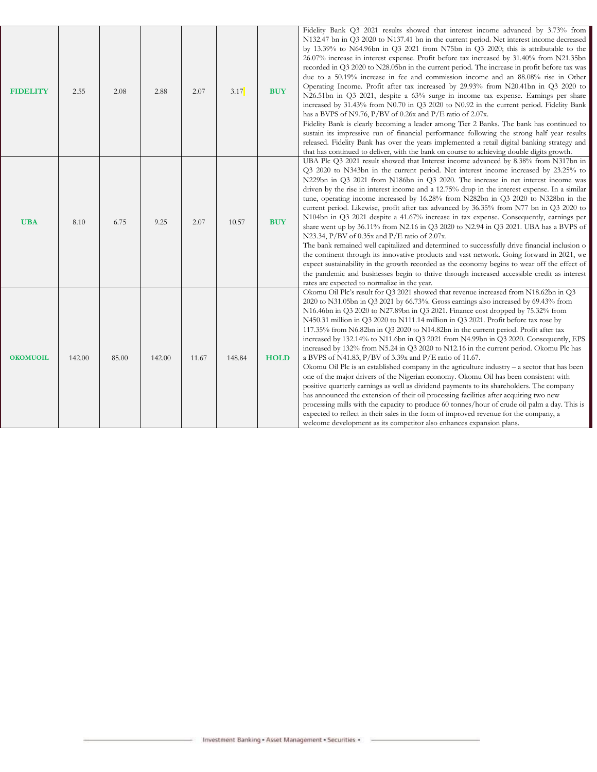| <b>FIDELITY</b> | 2.55   | 2.08  | 2.88   | 2.07  | 3.17   | <b>BUY</b>  | Fidelity Bank Q3 2021 results showed that interest income advanced by 3.73% from<br>N132.47 bn in Q3 2020 to N137.41 bn in the current period. Net interest income decreased<br>by 13.39% to N64.96bn in Q3 2021 from N75bn in Q3 2020; this is attributable to the<br>26.07% increase in interest expense. Profit before tax increased by 31.40% from N21.35bn<br>recorded in Q3 2020 to N28.05bn in the current period. The increase in profit before tax was<br>due to a 50.19% increase in fee and commission income and an 88.08% rise in Other<br>Operating Income. Profit after tax increased by 29.93% from N20.41bn in Q3 2020 to<br>N26.51bn in Q3 2021, despite a 63% surge in income tax expense. Earnings per share<br>increased by 31.43% from N0.70 in Q3 2020 to N0.92 in the current period. Fidelity Bank<br>has a BVPS of N9.76, P/BV of 0.26x and P/E ratio of 2.07x.<br>Fidelity Bank is clearly becoming a leader among Tier 2 Banks. The bank has continued to<br>sustain its impressive run of financial performance following the strong half year results<br>released. Fidelity Bank has over the years implemented a retail digital banking strategy and<br>that has continued to deliver, with the bank on course to achieving double digits growth.                                                            |
|-----------------|--------|-------|--------|-------|--------|-------------|---------------------------------------------------------------------------------------------------------------------------------------------------------------------------------------------------------------------------------------------------------------------------------------------------------------------------------------------------------------------------------------------------------------------------------------------------------------------------------------------------------------------------------------------------------------------------------------------------------------------------------------------------------------------------------------------------------------------------------------------------------------------------------------------------------------------------------------------------------------------------------------------------------------------------------------------------------------------------------------------------------------------------------------------------------------------------------------------------------------------------------------------------------------------------------------------------------------------------------------------------------------------------------------------------------------------------------------------|
| <b>UBA</b>      | 8.10   | 6.75  | 9.25   | 2.07  | 10.57  | <b>BUY</b>  | UBA Plc Q3 2021 result showed that Interest income advanced by 8.38% from N317bn in<br>Q3 2020 to N343bn in the current period. Net interest income increased by 23.25% to<br>N229bn in Q3 2021 from N186bn in Q3 2020. The increase in net interest income was<br>driven by the rise in interest income and a 12.75% drop in the interest expense. In a similar<br>tune, operating income increased by 16.28% from N282bn in Q3 2020 to N328bn in the<br>current period. Likewise, profit after tax advanced by 36.35% from N77 bn in Q3 2020 to<br>N104bn in Q3 2021 despite a 41.67% increase in tax expense. Consequently, earnings per<br>share went up by 36.11% from N2.16 in Q3 2020 to N2.94 in Q3 2021. UBA has a BVPS of<br>N23.34, P/BV of $0.35x$ and P/E ratio of 2.07x.<br>The bank remained well capitalized and determined to successfully drive financial inclusion o<br>the continent through its innovative products and vast network. Going forward in 2021, we<br>expect sustainability in the growth recorded as the economy begins to wear off the effect of<br>the pandemic and businesses begin to thrive through increased accessible credit as interest<br>rates are expected to normalize in the year.                                                                                                         |
| <b>OKOMUOIL</b> | 142.00 | 85.00 | 142.00 | 11.67 | 148.84 | <b>HOLD</b> | Okomu Oil Plc's result for Q3 2021 showed that revenue increased from N18.62bn in Q3<br>2020 to N31.05bn in Q3 2021 by 66.73%. Gross earnings also increased by 69.43% from<br>N16.46bn in Q3 2020 to N27.89bn in Q3 2021. Finance cost dropped by 75.32% from<br>N450.31 million in Q3 2020 to N111.14 million in Q3 2021. Profit before tax rose by<br>117.35% from N6.82bn in Q3 2020 to N14.82bn in the current period. Profit after tax<br>increased by 132.14% to N11.6bn in Q3 2021 from N4.99bn in Q3 2020. Consequently, EPS<br>increased by 132% from N5.24 in Q3 2020 to N12.16 in the current period. Okomu Plc has<br>a BVPS of N41.83, P/BV of 3.39x and P/E ratio of 11.67.<br>Okomu Oil Plc is an established company in the agriculture industry - a sector that has been<br>one of the major drivers of the Nigerian economy. Okomu Oil has been consistent with<br>positive quarterly earnings as well as dividend payments to its shareholders. The company<br>has announced the extension of their oil processing facilities after acquiring two new<br>processing mills with the capacity to produce 60 tonnes/hour of crude oil palm a day. This is<br>expected to reflect in their sales in the form of improved revenue for the company, a<br>welcome development as its competitor also enhances expansion plans. |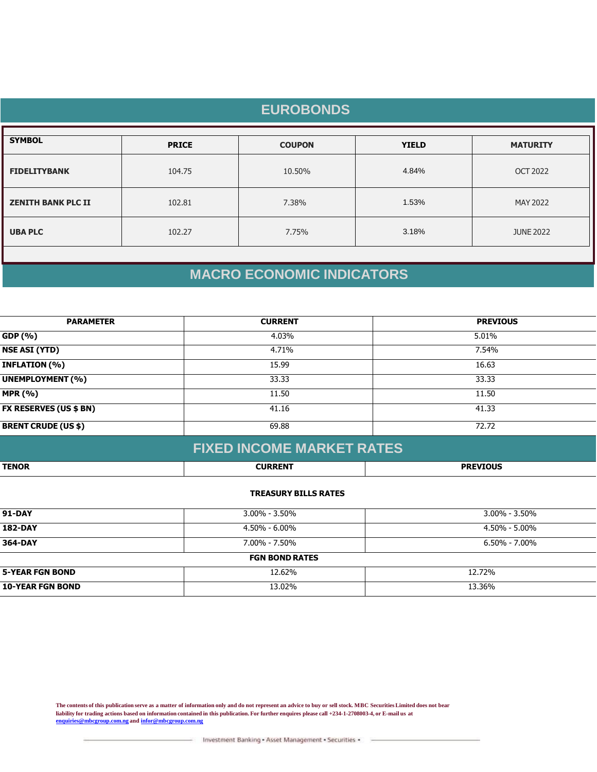| <b>EUROBONDS</b>          |              |               |              |                  |  |
|---------------------------|--------------|---------------|--------------|------------------|--|
| <b>SYMBOL</b>             | <b>PRICE</b> | <b>COUPON</b> | <b>YIELD</b> | <b>MATURITY</b>  |  |
| <b>FIDELITYBANK</b>       | 104.75       | 10.50%        | 4.84%        | <b>OCT 2022</b>  |  |
| <b>ZENITH BANK PLC II</b> | 102.81       | 7.38%         | 1.53%        | MAY 2022         |  |
| <b>UBA PLC</b>            | 102.27       | 7.75%         | 3.18%        | <b>JUNE 2022</b> |  |
|                           |              |               |              |                  |  |

# **MACRO ECONOMIC INDICATORS**

| <b>PARAMETER</b>              | <b>CURRENT</b> | <b>PREVIOUS</b> |  |
|-------------------------------|----------------|-----------------|--|
| GDP (%)                       | 4.03%          | 5.01%           |  |
| <b>NSE ASI (YTD)</b>          | 4.71%          | 7.54%           |  |
| <b>INFLATION (%)</b>          | 15.99          | 16.63           |  |
| <b>UNEMPLOYMENT (%)</b>       | 33.33          | 33.33           |  |
| <b>MPR (%)</b>                | 11.50          | 11.50           |  |
| <b>FX RESERVES (US \$ BN)</b> | 41.16          | 41.33           |  |
| <b>BRENT CRUDE (US \$)</b>    | 69.88          | 72.72           |  |
|                               |                |                 |  |

|              | <b>FIXED INCOME MARKET RATES</b> |                 |
|--------------|----------------------------------|-----------------|
| <b>TENOR</b> | <b>CURRENT</b>                   | <b>PREVIOUS</b> |

### **TREASURY BILLS RATES**

| <b>91-DAY</b>           | $3.00\% - 3.50\%$     | 3.00% - 3.50%     |  |
|-------------------------|-----------------------|-------------------|--|
| <b>182-DAY</b>          | 4.50% - 6.00%         | 4.50% - 5.00%     |  |
| 364-DAY                 | $7.00\% - 7.50\%$     | $6.50\% - 7.00\%$ |  |
|                         | <b>FGN BOND RATES</b> |                   |  |
| <b>5-YEAR FGN BOND</b>  | 12.62%                | 12.72%            |  |
| <b>10-YEAR FGN BOND</b> | 13.02%                | 13.36%            |  |

**The contents of this publication serve as a matter of information only and do not represent an advice to buy or sell stock. MBC Securities Limited does not bear liability for trading actions based on information contained in this publication. For further enquires please call +234-1-2708003-4, or E-mail us at [enquiries@mbcgroup.com.ng](mailto:enquiries@mbcgroup.com.ng) and [infor@mbcgroup.com.ng](mailto:infor@mbcgroup.com.ng)**

Investment Banking - Asset Management - Securities -